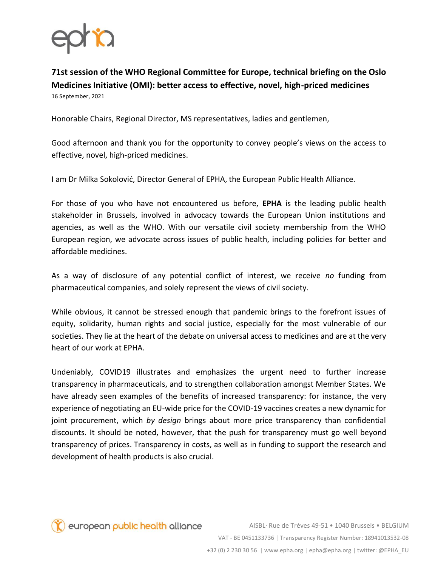

**71st session of the WHO Regional Committee for Europe, technical briefing on the Oslo Medicines Initiative (OMI): better access to effective, novel, high-priced medicines**  16 September, 2021

Honorable Chairs, Regional Director, MS representatives, ladies and gentlemen,

Good afternoon and thank you for the opportunity to convey people's views on the access to effective, novel, high-priced medicines.

I am Dr Milka Sokolović, Director General of EPHA, the European Public Health Alliance.

For those of you who have not encountered us before, **EPHA** is the leading public health stakeholder in Brussels, involved in advocacy towards the European Union institutions and agencies, as well as the WHO. With our versatile civil society membership from the WHO European region, we advocate across issues of public health, including policies for better and affordable medicines.

As a way of disclosure of any potential conflict of interest, we receive *no* funding from pharmaceutical companies, and solely represent the views of civil society.

While obvious, it cannot be stressed enough that pandemic brings to the forefront issues of equity, solidarity, human rights and social justice, especially for the most vulnerable of our societies. They lie at the heart of the debate on universal access to medicines and are at the very heart of our work at EPHA.

Undeniably, COVID19 illustrates and emphasizes the urgent need to further increase transparency in pharmaceuticals, and to strengthen collaboration amongst Member States. We have already seen examples of the benefits of increased transparency: for instance, the very experience of negotiating an EU-wide price for the COVID-19 vaccines creates a new dynamic for joint procurement, which *by design* brings about more price transparency than confidential discounts. It should be noted, however, that the push for transparency must go well beyond transparency of prices. Transparency in costs, as well as in funding to support the research and development of health products is also crucial.

european public health alliance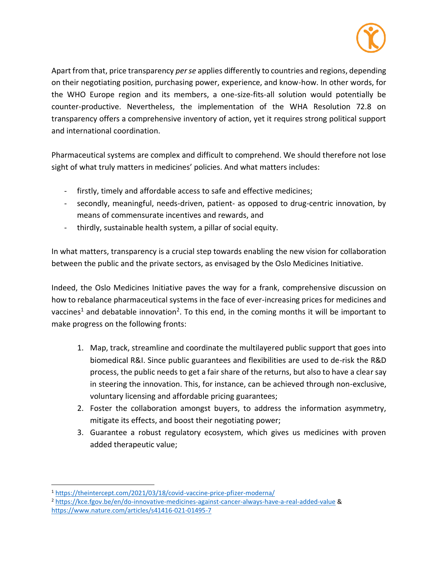

Apart from that, price transparency *per se* applies differently to countries and regions, depending on their negotiating position, purchasing power, experience, and know-how. In other words, for the WHO Europe region and its members, a one-size-fits-all solution would potentially be counter-productive. Nevertheless, the implementation of the WHA Resolution 72.8 on transparency offers a comprehensive inventory of action, yet it requires strong political support and international coordination.

Pharmaceutical systems are complex and difficult to comprehend. We should therefore not lose sight of what truly matters in medicines' policies. And what matters includes:

- firstly, timely and affordable access to safe and effective medicines;
- secondly, meaningful, needs-driven, patient- as opposed to drug-centric innovation, by means of commensurate incentives and rewards, and
- thirdly, sustainable health system, a pillar of social equity.

In what matters, transparency is a crucial step towards enabling the new vision for collaboration between the public and the private sectors, as envisaged by the Oslo Medicines Initiative.

Indeed, the Oslo Medicines Initiative paves the way for a frank, comprehensive discussion on how to rebalance pharmaceutical systems in the face of ever-increasing prices for medicines and vaccines<sup>1</sup> and debatable innovation<sup>2</sup>. To this end, in the coming months it will be important to make progress on the following fronts:

- 1. Map, track, streamline and coordinate the multilayered public support that goes into biomedical R&I. Since public guarantees and flexibilities are used to de-risk the R&D process, the public needs to get a fair share of the returns, but also to have a clear say in steering the innovation. This, for instance, can be achieved through non-exclusive, voluntary licensing and affordable pricing guarantees;
- 2. Foster the collaboration amongst buyers, to address the information asymmetry, mitigate its effects, and boost their negotiating power;
- 3. Guarantee a robust regulatory ecosystem, which gives us medicines with proven added therapeutic value;

<sup>1</sup> <https://theintercept.com/2021/03/18/covid-vaccine-price-pfizer-moderna/>

<sup>2</sup> <https://kce.fgov.be/en/do-innovative-medicines-against-cancer-always-have-a-real-added-value> & <https://www.nature.com/articles/s41416-021-01495-7>